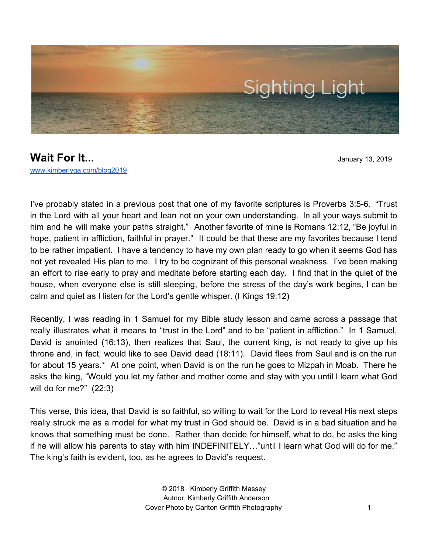

**Wait For It... Wait For It... January 13, 2019** [www.kimberlyga.com/blog2019](http://www.kimberlyga.com/blog)

I've probably stated in a previous post that one of my favorite scriptures is Proverbs 3:5-6. "Trust in the Lord with all your heart and lean not on your own understanding. In all your ways submit to him and he will make your paths straight." Another favorite of mine is Romans 12:12, "Be joyful in hope, patient in affliction, faithful in prayer." It could be that these are my favorites because I tend to be rather impatient. I have a tendency to have my own plan ready to go when it seems God has not yet revealed His plan to me. I try to be cognizant of this personal weakness. I've been making an effort to rise early to pray and meditate before starting each day. I find that in the quiet of the house, when everyone else is still sleeping, before the stress of the day's work begins, I can be calm and quiet as I listen for the Lord's gentle whisper. (I Kings 19:12)

Recently, I was reading in 1 Samuel for my Bible study lesson and came across a passage that really illustrates what it means to "trust in the Lord" and to be "patient in affliction." In 1 Samuel, David is anointed (16:13), then realizes that Saul, the current king, is not ready to give up his throne and, in fact, would like to see David dead (18:11). David flees from Saul and is on the run for about 15 years.\* At one point, when David is on the run he goes to Mizpah in Moab. There he asks the king, "Would you let my father and mother come and stay with you until I learn what God will do for me?" (22:3)

This verse, this idea, that David is so faithful, so willing to wait for the Lord to reveal His next steps really struck me as a model for what my trust in God should be. David is in a bad situation and he knows that something must be done. Rather than decide for himself, what to do, he asks the king if he will allow his parents to stay with him INDEFINITELY…"until I learn what God will do for me." The king's faith is evident, too, as he agrees to David's request.

> © 2018 Kimberly Griffith Massey Autnor, Kimberly Griffith Anderson Cover Photo by Carlton Griffith Photography 1